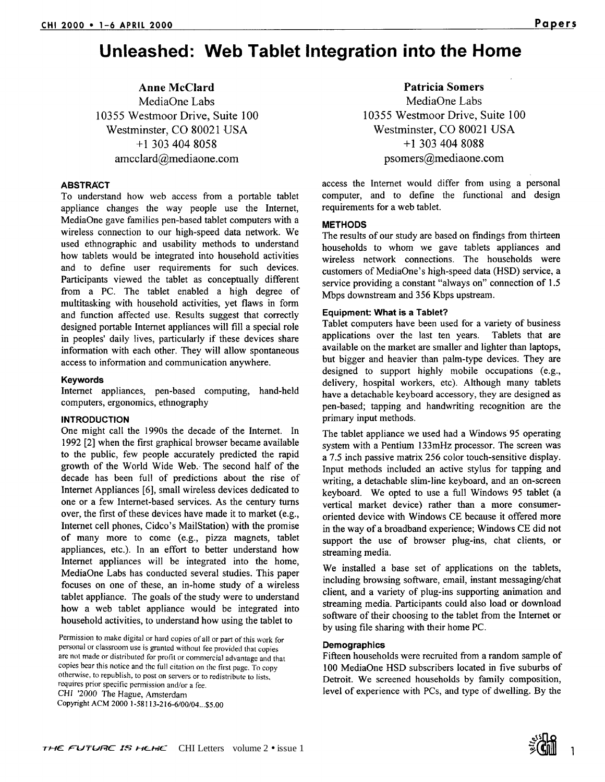# **Unleashed: Web Tablet Integration into the Home**

Anne **McCiard**  MediaOne Labs 10355 Westmoor Drive, Suite 100 Westminster, CO 80021 USA +1 303 404 8058 amcclard@mediaone.com

# **ABSTRACT**

To understand how web access from a portable tablet appliance changes the way people use the Internet, MediaOne gave families pen-based tablet computers with a wireless connection to our high-speed data network. We used ethnographic and usability methods to understand how tablets would be integrated into household activities and to define user requirements for such devices. Participants viewed the tablet as conceptually different from a PC. The tablet enabled a high degree of multitasking with household activities, yet flaws in form and function affected use. Results suggest that correctly designed portable Internet appliances will fill a special role in peoples' daily lives, particularly if these devices share information with each other. They will allow spontaneous access to information and communication anywhere.

# **Keywords**

Internet appliances, pen-based computing, hand-held computers, ergonomics, ethnography

# **INTRODUCTION**

One might call the 1990s the decade of the Intemet. In 1992 [2] when the first graphical browser became available to the public, few people accurately predicted the rapid growth of the World Wide Web.-The second half of the decade has been full of predictions about the rise of Intemet Appliances [6], small wireless devices dedicated to one or a few Intemet-based services. As the century turns over, the first of these devices have made it to market (e.g., Internet cell phones, Cidco's MailStation) with the promise of many more to come (e.g., pizza magnets, tablet appliances, etc.). In an effort to better understand how Internet appliances will be integrated into the home, MediaOne Labs has conducted several studies. This paper focuses on one of these, an in-home study of a wireless tablet appliance. The goals of the study were to understand how a web tablet appliance would be integrated into household activities, to understand how using the tablet to

Permission to make digital or hard copies of all or part of this work for personal or classroom use is granted without fee provided that copies are not made or distributed for profit or commercial advantage and that copies bear this notice and the full citation on the first page. To copy otherwise, to republish, to post on servers or to redistribute to lists, requires prior specific permission and/or a fee. CHI '2000 The Hague, Amsterdam Copyright ACM 2000 1-58113-216-6/00/04...\$5.00

**Patricia Somers**  MediaOne Labs 10355 Westmoor Drive, Suite 100 Westminster, CO 80021 USA +1 303 404 8088 psomers@mediaone.com

access the Internet would differ from using a personal computer, and to define the functional and design requirements for a web tablet.

# **METHODS**

The results of our study are based on f'mdings from thirteen households to whom we gave tablets appliances and wireless network connections. The households were customers of MediaOne's high-speed data (HSD) service, a service providing a constant "always on" connection of 1.5 Mbps downstream and 356 Kbps upstream.

# **Equipment: What is a Tablet?**

Tablet computers have been used for a variety of business applications over the last ten years. Tablets that are available on the market are smaller and lighter than laptops, but bigger and heavier than palm-type devices. They are designed to support highly mobile occupations (e.g., delivery, hospital workers, etc). Although many tablets have a detachable keyboard accessory, they are designed as pen-based; tapping and handwriting recognition are the primary input methods.

The tablet appliance we used had a Windows 95 operating system with a Pentium 133mHz processor. The screen was a 7.5 inch passive matrix 256 color touch-sensitive display. Input methods included an active stylus for tapping and writing, a detachable slim-line keyboard, and an on-screen keyboard. We opted to use a full Windows 95 tablet (a vertical market device) rather than a more consumeroriented device with Windows CE because it offered more in the way of a broadband experience; Windows CE did not support the use of browser plug-ins, chat clients, or streaming media.

We installed a base set of applications on the tablets, including browsing software, email, instant messaging/chat client, and a variety of plug-ins supporting animation and streaming media. Participants could also load or download software of their choosing to the tablet from the Internet or by using file sharing with their home PC.

### **Demographics**

Fifteen households were recruited from a random sample of 100 MediaOne HSD subscribers located in five suburbs of Detroit. We screened households by family composition, level of experience with PCs, and type of dwelling. By the

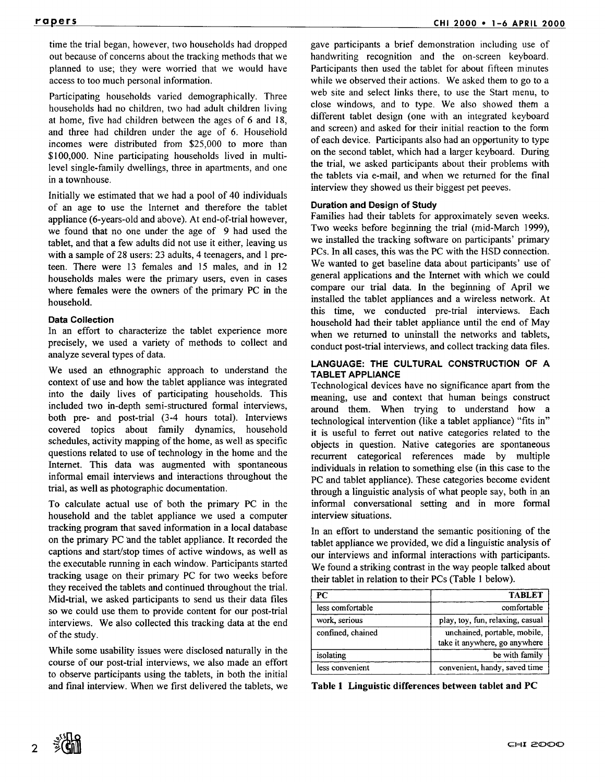time the trial began, however, two households had dropped out because of concerns about the tracking methods that we planned to use; they were worried that we would have access to too much personal information.

Participating households varied demographically. Three households had no children, two had adult children living at home, five had children between the ages of 6 and 18, and three had children under the age of 6. Household incomes were distributed from \$25,000 to more than \$100,000. Nine participating households lived in multilevel single-family dwellings, three in apartments, and one in a townhouse.

Initially we estimated that we had a pool of 40 individuals of an age to use the Internet and therefore the tablet appliance (6-years-old and above). At end-of-trial however, we found that no one under the age of 9 had used the tablet, and that a few adults did not use it either, leaving us with a sample of 28 users: 23 adults, 4 teenagers, and 1 preteen. There were 13 females and 15 males, and in 12 households males were the primary users, even in cases where females were the owners of the primary PC in the household.

### **Data Collection**

In an effort to characterize the tablet experience more precisely, we used a variety of methods to collect and analyze several types of data.

We used an ethnographic approach to understand the context of use and how the tablet appliance was integrated into the daily lives of participating households. This included two in-depth semi-structured formal interviews, both pre- and post-trial (3-4 hours total). Interviews covered topics about family dynamics, household schedules, activity mapping of the home, as well as specific questions related to use of technology in the home and the Internet. This data was augmented with spontaneous informal email interviews and interactions throughout the trial, as well as photographic documentation.

To calculate actual use of both the primary PC in the household and the tablet appliance we used a computer tracking program that saved information in a local database on the primary PC and the tablet appliance. It recorded the captions and start/stop times of active windows, as well as the executable running in each window. Participants started tracking usage on their primary PC for two weeks before they received the tablets and continued throughout the trial. Mid-trial, we asked participants to send us their data flies so we could use them to provide content for our post-trial interviews. We also collected this tracking data at the end of the study.

While some usability issues were disclosed naturally in the course of our post-trial interviews, we also made an effort to observe participants using the tablets, in both the initial and final interview. When we first delivered the tablets, we

gave participants a brief demonstration including use of handwriting recognition and the on-screen keyboard. Participants then used the tablet for about fifteen minutes while we observed their actions. We asked them to go to a web site and select links there, to use the Start menu, to close windows, and to type. We also showed them a different tablet design (one with an integrated keyboard and screen) and asked for their initial reaction to the form of each device. Participants also had an opportunity to type on the second tablet, which had a larger keyboard. During the trial, we asked participants about their problems with the tablets via e-mail, and when we returned for the final interview they showed us their biggest pet peeves.

### **Duration and Design of Study**

Families had their tablets for approximately seven weeks. Two weeks before beginning the trial (mid-March 1999), we installed the tracking software on participants' primary PCs. In all cases, this was the PC with the HSD connection. We wanted to get baseline data about participants' use of general applications and the Internet with which we could compare our trial data. In the beginning of April we installed the tablet appliances and a wireless network. At this time, we conducted pre-trial interviews. Each household had their tablet appliance until the end of May when we returned to uninstall the networks and tablets, conduct post-trial interviews, and collect tracking data files.

# **LANGUAGE: THE CULTURAL CONSTRUCTION OF A TABLET APPLIANCE**

Technological devices have no significance apart from the meaning, use and context that human beings construct around them. When trying to understand how a technological intervention (like a tablet appliance) "fits in" it is useful to ferret out native categories related to the objects in question. Native categories are spontaneous recurrent categorical references made by multiple individuals in relation to something else (in this case to the PC and tablet appliance). These categories become evident through a linguistic analysis of what people say, both in an informal conversational setting and in more formal interview situations.

In an effort to understand the semantic positioning of the tablet appliance we provided, we did a linguistic analysis of our interviews and informal interactions with participants. We found a striking contrast in the way people talked about their tablet in relation to their PCs (Table 1 below).

| PС                | <b>TABLET</b>                                                 |
|-------------------|---------------------------------------------------------------|
| less comfortable  | comfortable                                                   |
| work, serious     | play, toy, fun, relaxing, casual                              |
| confined, chained | unchained, portable, mobile,<br>take it anywhere, go anywhere |
| isolating         | be with family                                                |
| less convenient   | convenient, handy, saved time                                 |

**Table 1 Linguistic differences between tablet and PC**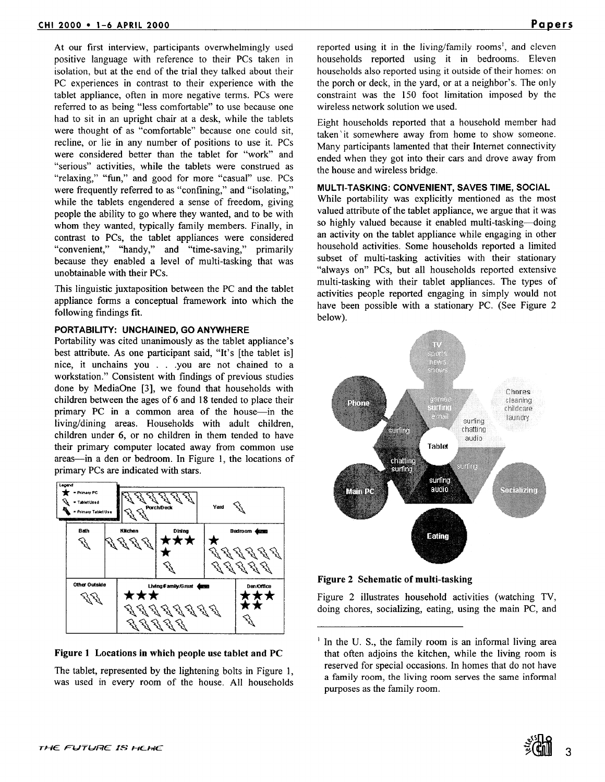At our first interview, participants overwhelmingly used positive language with reference to their PCs taken in isolation, but at the end of the trial they talked about their PC experiences in contrast to their experience with the tablet appliance, often in more negative terms. PCs were referred to as being "less comfortable" to use because one had to sit in an upright chair at a desk, while the tablets were thought of as "comfortable" because one could sit, recline, or lie in any number of positions to use it. PCs were considered better than the tablet for "work" and "serious" activities, while the tablets were construed as "relaxing," "fun," and good for more "casual" use. PCs were frequently referred to as "confining," and "isolating," while the tablets engendered a sense of freedom, giving people the ability to go where they wanted, and to be with whom they wanted, typically family members. Finally, in contrast to PCs, the tablet appliances were considered "convenient," "handy," and "time-saving," primarily because they enabled a level of multi-tasking that was unobtainable with their PCs.

This linguistic juxtaposition between the PC and the tablet appliance forms a conceptual framework into which the following findings fit.

### **PORTABILITY: UNCHAINED, GO ANYWHERE**

Portability was cited unanimously as the tablet appliance's best attribute. As one participant said, "It's [the tablet is] nice, it unchains you . . .you are not chained to a workstation." Consistent with findings of previous studies done by MediaOne [3], we found that households with children between the ages of 6 and 18 tended to place their primary PC in a common area of the house--in the living/dining areas. Households with adult children, children under 6, or no children in them tended to have their primary computer located away from common use areas--in a den or bedroom. In Figure 1, the locations of primary PCs are indicated with stars.



**Figure 1 Locations in which people use tablet and PC** 

The tablet, represented by the lightening bolts in Figure 1, was used in every room of the house. All households reported using it in the living/family rooms<sup>1</sup>, and eleven households reported using it in bedrooms. Eleven households also reported using it outside of their homes: on the porch or deck, in the yard, or at a neighbor's. The only constraint was the 150 foot limitation imposed by the wireless network solution we used.

Eight households reported that a household member had taken' it somewhere away from home to show someone. Many participants lamented that their lntemet connectivity ended when they got into their cars and drove away from the house and wireless bridge.

# **MULTI-TASKING: CONVENIENT, SAVES TIME, SOCIAL**

While portability was explicitly mentioned as the most valued attribute of the tablet appliance, we argue that it was so highly valued because it enabled multi-tasking-doing an activity on the tablet appliance while engaging in other household activities. Some households reported a limited subset of multi-tasking activities with their stationary "always on" PCs, but all households reported extensive multi-tasking with their tablet appliances. The types of activities people reported engaging in simply would not have been possible with a stationary PC. (See Figure 2 below).



**Figure 2 Schematic of multi-tasking** 

Figure 2 illustrates household activities (watching TV, doing chores, socializing, eating, using the main PC, and



 $<sup>1</sup>$  In the U. S., the family room is an informal living area</sup> that often adjoins the kitchen, while the living room is reserved for special occasions. In homes that do not have a family room, the living room serves the same informal purposes as the family room.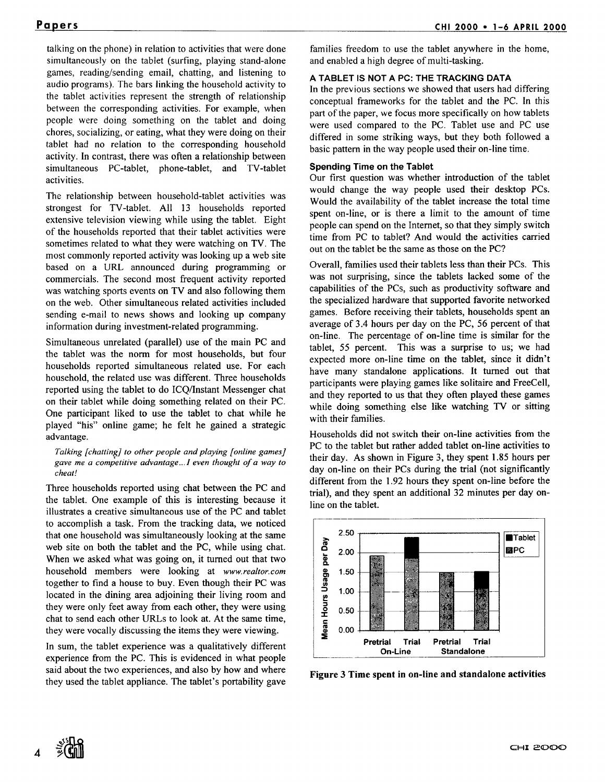talking on the phone) in relation to activities that were done simultaneously on the tablet (surfing, playing stand-alone games, reading/sending email, chatting, and listening to audio programs). The bars linking the household activity to the tablet activities represent the strength of relationship between the corresponding activities. For example, when people were doing something on the tablet and doing chores, socializing, or eating, what they were doing on their tablet had no relation to the corresponding household activity. In contrast, there was often a relationship between simultaneous PC-tablet, phone-tablet, and TV-tablet activities.

The relationship between household-tablet activities was strongest for TV-tablet. All 13 households reported extensive television viewing while using the tablet. Eight of the households reported that their tablet activities were sometimes related to what they were watching on TV. The most commonly reported activity was looking up a web site based on a URL announced during programming or commercials. The second most frequent activity reported was watching sports events on TV and also following them on the web. Other simultaneous related activities included sending e-mail to news shows and looking up company information during investment-related programming.

Simultaneous unrelated (parallel) use of the main PC and the tablet was the norm for most households, but four households reported simultaneous related use. For each household, the related use was different. Three households reported using the tablet to do ICQ/Instant Messenger chat on their tablet while doing something related on their PC. One participant liked to use the tablet to chat while he played "his" online game; he felt he gained a strategic advantage.

*Talking [chatting] to other people and playing [online games] gave me a competitive advantage...1 even thought of a way to cheat!* 

Three households reported using chat between the PC and the tablet. One example of this is interesting because it illustrates a creative simultaneous use of the PC and tablet to accomplish a task. From the tracking data, we noticed that one household was simultaneously looking at the same web site on both the tablet and the PC, while using chat. When we asked what was going on, it turned out that two household members were looking at *www.realtor.com*  together to find a house to buy. Even though their PC was located in the dining area adjoining their living room and they were only feet away from each other, they were using chat to send each other URLs to look at. At the same time, they were vocally discussing the items they were viewing.

In sum, the tablet experience was a qualitatively different experience from the PC. This is evidenced in what people said about the two experiences, and also by how and where they used the tablet appliance. The tablet's portability gave

families freedom to use the tablet anywhere in the home, and enabled a high degree of multi-tasking.

# **A TABLET IS NOT A PC:** THE TRACKING DATA

In the previous sections we showed that users had differing conceptual frameworks for the tablet and the PC. In this part of the paper, we focus more specifically on how tablets were used compared to the PC. Tablet use and PC use differed in some striking ways, but they both followed a basic pattern in the way people used their on-line time.

# **Spending Time on the Tablet**

Our first question was whether introduction of the tablet would change the way people used their desktop PCs. Would the availability of the tablet increase the total time spent on-line, or is there a limit to the amount of time people can spend on the Internet, so that they simply switch time from PC to tablet? And would the activities carried out on the tablet be the same as those on the PC?

Overall, families used their tablets less than their PCs. This was not surprising, since the tablets lacked some of the capabilities of the PCs, such as productivity software and the specialized hardware that supported favorite networked games. Before receiving their tablets, households spent an average of 3.4 hours per day on the PC, 56 percent of that on-line. The percentage of on-line time is similar for the tablet, 55 percent. This was a surprise to us, we had expected more on-line time on the tablet, since it didn't have many standalone applications. It turned out that participants were playing games like solitaire and FreeCell, and they reported to us that they often played these games while doing something else like watching TV or sitting with their families.

Households did not switch their on-line activities from the PC to the tablet but rather added tablet on-line activities to their day. As shown in Figure 3, they spent 1.85 hours per day on-line on their PCs during the trial (not significantly different from the 1.92 hours they spent on-line before the trial), and they spent an additional 32 minutes per day online on the tablet.



**Figure 3 Time spent in on-line and standaione activities** 

 $\ddot{\tilde{z}}$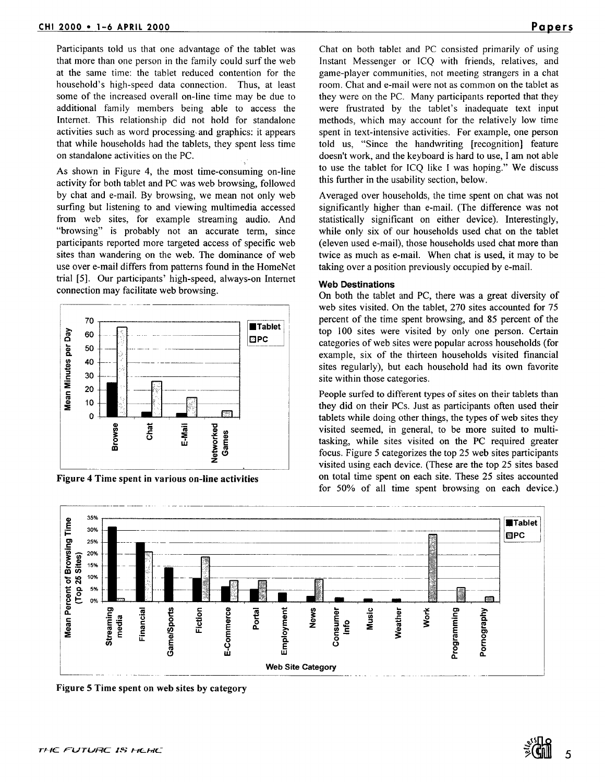Participants told us that one advantage of the tablet was that more than one person in the family could surf the web at the same time: the tablet reduced contention for the household's high-speed data connection. Thus, at least some of the increased overall on-line time may be due to additional family members being able to access the Internet. This relationship did not hold for standalone activities such as word processing, and graphics: it appears that while households had the tablets, they spent less time on standalone activities on the PC.

As shown in Figure 4, the most time-consuming on-line activity for both tablet and PC was web browsing, followed by chat and e-mail. By browsing, we mean not only web surfing but listening to and viewing multimedia accessed from web sites, for example streaming audio. And "browsing" is probably not an accurate term, since participants reported more targeted access of specific web sites than wandering on the web. The dominance of web use over e-mail differs from patterns found in the HomeNet trial [5]. Our participants' high-speed, always-on Internet connection may facilitate web browsing.



**Figure 4 Time spent in various on-line activities** 

Chat on both tablet and PC consisted primarily of using Instant Messenger or ICQ with friends, relatives, and game-player communities, not meeting strangers in a chat room. Chat and e-mail were not as common on the tablet as they were on the PC. Many participants reported that they were frustrated by the tablet's inadequate text input methods, which may account for the relatively low time spent in text-intensive activities. For example, one person told us, "Since the handwriting [recognition] feature doesn't work, and the keyboard is hard to use, I am not able to use the tablet for ICQ like I was hoping." We discuss this further in the usability section, below.

Averaged over households, the time spent on chat was not significantly higher than e-mail. (The difference was not statistically significant on either device). Interestingly, while only six of our households used chat on the tablet (eleven used e-mail), those households used chat more than twice as much as e-mail. When chat is used, it may to be taking over a position previously occupied by e-mail.

### **Web Destinations**

On both the tablet and PC, there was a great diversity of web sites visited. On the tablet, 270 sites accounted for 75 percent of the time spent browsing, and 85 percent of the top 100 sites were visited by only one person. Certain categories of web sites were popular across households (for example, six of the thirteen households visited financial sites regularly), but each household had its own favorite site within those categories.

People surfed to different types of sites on their tablets than they did on their PCs. Just as participants often used their tablets while doing other things, the types of web sites they visited seemed, in general, to be more suited to multitasking, while sites visited on the PC required greater focus. Figure 5 categorizes the top 25 web sites participants visited using each device. (These are the top 25 sites based on total time spent on each site. These 25 sites accounted for 50% of all time spent browsing on each device.)



**Figure 5 Time spent on web sites by category**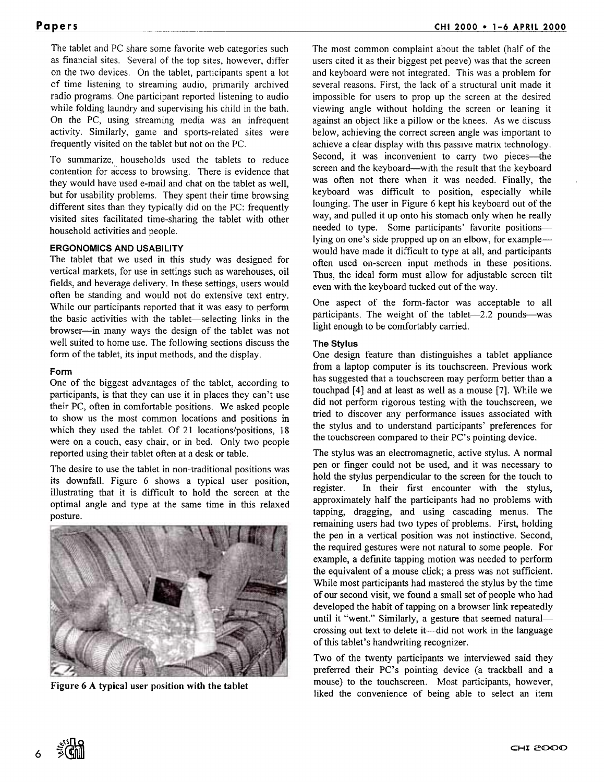The tablet and PC share some favorite web categories such as financial sites. Several of the top sites, however, differ on the two devices. On the tablet, participants spent a lot of time listening to streaming audio, primarily archived radio programs. One participant reported listening to audio while folding laundry and supervising his child in the bath. On the PC, using streaming media was an infrequent activity. Similarly, game and sports-related sites were frequently visited on the tablet but not on the PC.

To summarize, households used the tablets to reduce contention for access to browsing. There is evidence that they would have used e-mail and chat on the tablet as well, but for usability problems. They spent their time browsing different sites than they typically did on the PC: frequently visited sites facilitated time-sharing the tablet with other household activities and people.

### **ERGONOMICS AND USABILITY**

The tablet that we used in this study was designed for vertical markets, for use in settings such as warehouses, oil fields, and beverage delivery. In these settings, users would often be standing and would not do extensive text entry. While our participants reported that it was easy to perform the basic activities with the tablet—selecting links in the browser--in many ways the design of the tablet was not well suited to home use. The following sections discuss the form of the tablet, its input methods, and the display.

### **Form**

One of the biggest advantages of the tablet, according to participants, is that they can use it in places they can't use their PC, often in comfortable positions. We asked people to show us the most common locations and positions in which they used the tablet. Of 21 locations/positions, 18 were on a couch, easy chair, or in bed. Only two people reported using their tablet often at a desk or table.

The desire to use the tablet in non-traditional positions was its downfall. Figure 6 shows a typical user position, illustrating that it is difficult to hold the screen at the optimal angle and type at the same time in this relaxed posture.



**Figure 6 A typical user position with the tablet** 

The most common complaint about the tablet (half of the users cited it as their biggest pet peeve) was that the screen and keyboard were not integrated. This was a problem for several reasons. First, the lack of a structural unit made it impossible for users to prop up the screen at the desired viewing angle without holding the screen or leaning it against an object like a pillow or the knees. As we discuss below, achieving the correct screen angle was important to achieve a clear display with this passive matrix technology. Second, it was inconvenient to carry two pieces—the screen and the keyboard--with the result that the keyboard was often not there when it was needed. Finally, the keyboard was difficult to position, especially while lounging. The user in Figure 6 kept his keyboard out of the way, and pulled it up onto his stomach only when he really needed to type. Some participants' favorite positionslying on one's side propped up on an elbow, for example--would have made it difficult to type at all, and participants often used on-screen input methods in these positions. Thus, the ideal form must allow for adjustable screen tilt even with the keyboard tucked out of the way.

One aspect of the form-factor was acceptable to all participants. The weight of the tablet $-2.2$  pounds--was light enough to be comfortably carried.

#### **The Stylus**

One design feature than distinguishes a tablet appliance from a laptop computer is its touchscreen. Previous work has suggested that a touchscreen may perform better than a touchpad [4] and at least as well as a mouse [7]. While we did not perform rigorous testing with the touchscreen, we tried to discover any performance issues associated with the stylus and to understand participants' preferences for the touchscreen compared to their PC's pointing device.

The stylus was an electromagnetic, active stylus. A normal pen or finger could not be used, and it was necessary to hold the stylus perpendicular to the screen for the touch to register. In their first encounter with the stylus, approximately half the participants had no problems with tapping, dragging, and using cascading menus. The remaining users had two types of problems. First, holding the pen in a vertical position was not instinctive. Second, the required gestures were not natural to some people. For example, a definite tapping motion was needed to perform the equivalent of a mouse click; a press was not sufficient. While most participants had mastered the stylus by the time of our second visit, we found a small set of people who had developed the habit of tapping on a browser link repeatedly until it "went." Similarly, a gesture that seemed naturalcrossing out text to delete it—did not work in the language of this tablet's handwriting recognizer.

Two of the twenty participants we interviewed said they preferred their PC's pointing device (a trackball and a mouse) to the touchscreen. Most participants, however, liked the convenience of being able to select an item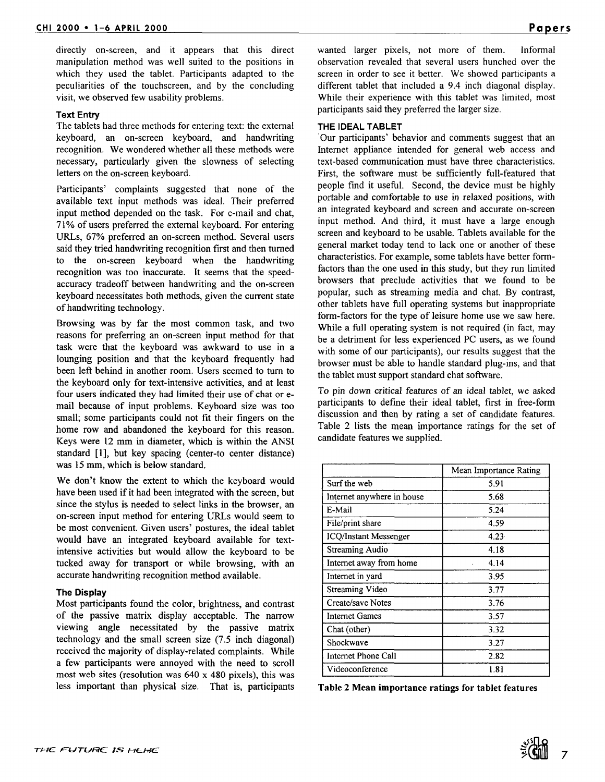directly on-screen, and it appears that this direct manipulation method was well suited to the positions in which they used the tablet. Participants adapted to the peculiarities of the touchscreen, and by the concluding visit, we observed few usability problems.

# **Text** Entry

The tablets had three methods for entering text: the external keyboard, an on-screen keyboard, and handwriting recognition. We wondered whether all these methods were necessary, particularly given the slowness of selecting letters on the on-screen keyboard.

Participants' complaints suggested that none of the available text input methods was ideal. Their preferred input method depended on the task. For e-mail and chat, 71% of users preferred the external keyboard. For entering URLs, 67% preferred an on-screen method. Several users said they tried handwriting recognition first and then turned to the on-screen keyboard when the handwriting recognition was too inaccurate. It seems that the speedaccuracy tradeoff between handwriting and the on-screen keyboard necessitates both methods, given the current state of handwriting technology.

Browsing was by far the most common task, and two reasons for preferring an on-screen input method for that task were that the keyboard was awkward to use in a lounging position and that the keyboard frequently had been left behind in another room. Users seemed to turn to the keyboard only for text-intensive activities, and at least four users indicated they had limited their use of chat or email because of input problems. Keyboard size was too small; some participants could not fit their fingers on the home row and abandoned the keyboard for this reason. Keys were 12 mm in diameter, which is within the ANSI standard [1], but key spacing (center-to center distance) was 15 mm, which is below standard.

We don't know the extent to which the keyboard would have been used if it had been integrated with the screen, but since the stylus is needed to select links in the browser, an on-screen input method for entering URLs would seem to be most convenient. Given users' postures, the ideal tablet would have an integrated keyboard available for textintensive activities but would allow the keyboard to be tucked away for transport or while browsing, with an accurate handwriting recognition method available.

# **The Display**

Most participants found the color, brightness, and contrast of the passive matrix display acceptable. The narrow viewing angle necessitated by the passive matrix technology and the small screen size (7.5 inch diagonal) received the majority of display-related complaints. While a few participants were annoyed with the need to scroll most web sites (resolution was  $640 \times 480$  pixels), this was less important than physical size. That is, participants wanted larger pixels, not more of them. Informal observation revealed that several users hunched over the screen in order to see it better. We showed participants a different tablet that included a 9.4 inch diagonal display. While their experience with this tablet was limited, most participants said they preferred the larger size.

### THE IDEAL TABLET

'Our participants' behavior and comments suggest that an Internet appliance intended for general web access and text-based communication must have three characteristics. First, the software must be sufficiently full-featured that people find it useful. Second, the device must be highly portable and comfortable to use in relaxed positions, with an integrated keyboard and screen and accurate on-screen input method. And third, it must have a large enough screen and keyboard to be usable. Tablets available for the general market today tend to lack one or another of these characteristics. For example, some tablets have better formfactors than the one used in this study, but they run limited browsers that preclude activities that we found to be popular, such as streaming media and chat. By contrast, other tablets have full operating systems but inappropriate form-factors for the type of leisure home use we saw here. While a full operating system is not required (in fact, may be a detriment for less experienced PC users, as we found with some of our participants), our results suggest that the browser must be able to handle standard plug-ins, and that the tablet must support standard chat software.

To pin down critical features of an ideal tablet, we asked participants to defme their ideal tablet, first in free-form discussion and then by rating a set of candidate features. Table 2 lists the mean importance ratings for the set of candidate features we supplied.

|                              | Mean Importance Rating |
|------------------------------|------------------------|
| Surf the web                 | 5.91                   |
| Internet anywhere in house   | 5.68                   |
| E-Mail                       | 5.24                   |
| File/print share             | 4.59                   |
| <b>ICQ/Instant Messenger</b> | 4.23                   |
| <b>Streaming Audio</b>       | 4.18                   |
| Internet away from home      | 4.14                   |
| Internet in yard             | 3.95                   |
| Streaming Video              | 3.77                   |
| Create/save Notes            | 3.76                   |
| Internet Games               | 3.57                   |
| Chat (other)                 | 3.32                   |
| Shockwave                    | 3.27                   |
| Internet Phone Call          | 2.82                   |
| Videoconference              | 1.81                   |

**Table 2 Mean importance ratings for tablet features** 

*7*